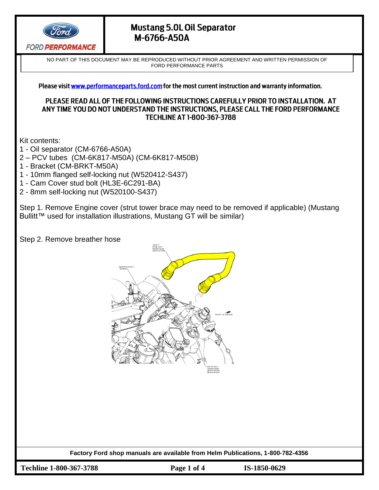

NO PART OF THIS DOCUMENT MAY BE REPRODUCED WITHOUT PRIOR AGREEMENT AND WRITTEN PERMISSION OF FORD PERFORMANCE PARTS

Please visit www.performanceparts.ford.com for the most current instruction and warranty information.

#### PLEASE READ ALL OF THE FOLLOWING INSTRUCTIONS CAREFULLY PRIOR TO INSTALLATION. AT ANY TIME YOU DO NOT UNDERSTAND THE INSTRUCTIONS, PLEASE CALL THE FORD PERFORMANCE **TECHLINE AT 1-800-367-3788**

Kit contents:

- 1 Oil separator (CM-6766-A50A)
- 2 PCV tubes (CM-6K817-M50A) (CM-6K817-M50B)
- 1 Bracket (CM-BRKT-M50A)
- 1 10mm flanged self-locking nut (W520412-S437)
- 1 Cam Cover stud bolt (HL3E-6C291-BA)
- 2 8mm self-locking nut (W520100-S437)

Step 1. Remove Engine cover (strut tower brace may need to be removed if applicable) (Mustang Bullitt™ used for installation illustrations, Mustang GT will be similar)

Step 2. Remove breather hose



**Factory Ford shop manuals are available from Helm Publications, 1-800-782-4356**

**Techline 1-800-367-3788 Page 1 of 4 IS-1850-0629**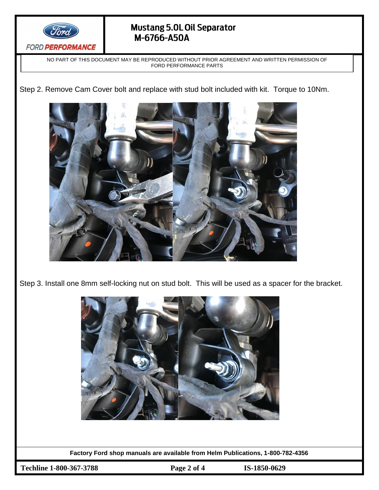

NO PART OF THIS DOCUMENT MAY BE REPRODUCED WITHOUT PRIOR AGREEMENT AND WRITTEN PERMISSION OF FORD PERFORMANCE PARTS

Step 2. Remove Cam Cover bolt and replace with stud bolt included with kit. Torque to 10Nm.



Step 3. Install one 8mm self-locking nut on stud bolt. This will be used as a spacer for the bracket.



**Factory Ford shop manuals are available from Helm Publications, 1-800-782-4356**

**Techline 1-800-367-3788 Page 2 of 4 IS-1850-0629**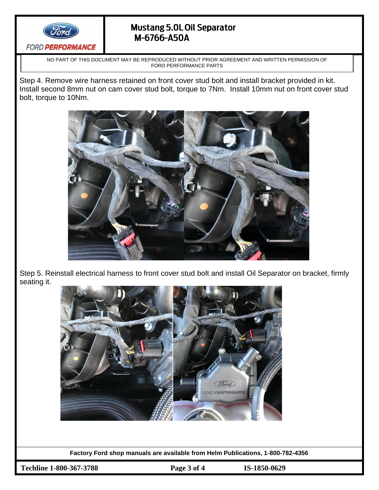

NO PART OF THIS DOCUMENT MAY BE REPRODUCED WITHOUT PRIOR AGREEMENT AND WRITTEN PERMISSION OF FORD PERFORMANCE PARTS

Step 4. Remove wire harness retained on front cover stud bolt and install bracket provided in kit. Install second 8mm nut on cam cover stud bolt, torque to 7Nm. Install 10mm nut on front cover stud bolt, torque to 10Nm.



Step 5. Reinstall electrical harness to front cover stud bolt and install Oil Separator on bracket, firmly seating it.



**Factory Ford shop manuals are available from Helm Publications, 1-800-782-4356**

**Techline 1-800-367-3788 Page 3 of 4 IS-1850-0629**